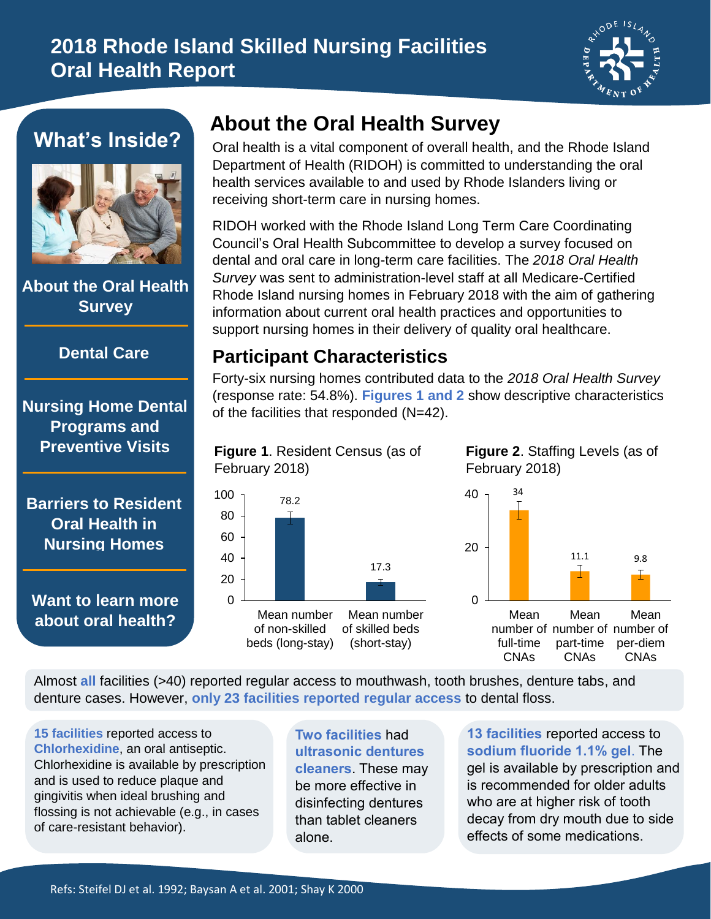# **2018 Rhode Island Skilled Nursing Facilities Oral Health Report**



### **What's Inside?**



**About the Oral Health Survey**

#### **Dental Care**

**Nursing Home Dental Programs and Preventive Visits**

**Barriers to Resident Oral Health in Nursing Homes**

**Want to learn more about oral health?**

# **About the Oral Health Survey**

Oral health is a vital component of overall health, and the Rhode Island Department of Health (RIDOH) is committed to understanding the oral health services available to and used by Rhode Islanders living or receiving short-term care in nursing homes.

RIDOH worked with the Rhode Island Long Term Care Coordinating Council's Oral Health Subcommittee to develop a survey focused on dental and oral care in long-term care facilities. The *2018 Oral Health Survey* was sent to administration-level staff at all Medicare-Certified Rhode Island nursing homes in February 2018 with the aim of gathering information about current oral health practices and opportunities to support nursing homes in their delivery of quality oral healthcare.

### **Participant Characteristics**

Forty-six nursing homes contributed data to the *2018 Oral Health Survey* (response rate: 54.8%). **Figures 1 and 2** show descriptive characteristics of the facilities that responded (N=42).

#### **Figure 1**. Resident Census (as of February 2018)



**Figure 2**. Staffing Levels (as of February 2018)



Almost **all** facilities (>40) reported regular access to mouthwash, tooth brushes, denture tabs, and denture cases. However, **only 23 facilities reported regular access** to dental floss.

**15 facilities** reported access to **Chlorhexidine**, an oral antiseptic. Chlorhexidine is available by prescription and is used to reduce plaque and gingivitis when ideal brushing and flossing is not achievable (e.g., in cases of care-resistant behavior).

**Two facilities** had **ultrasonic dentures cleaners**. These may be more effective in disinfecting dentures than tablet cleaners alone.

**13 facilities** reported access to **sodium fluoride 1.1% gel**. The gel is available by prescription and is recommended for older adults who are at higher risk of tooth decay from dry mouth due to side effects of some medications.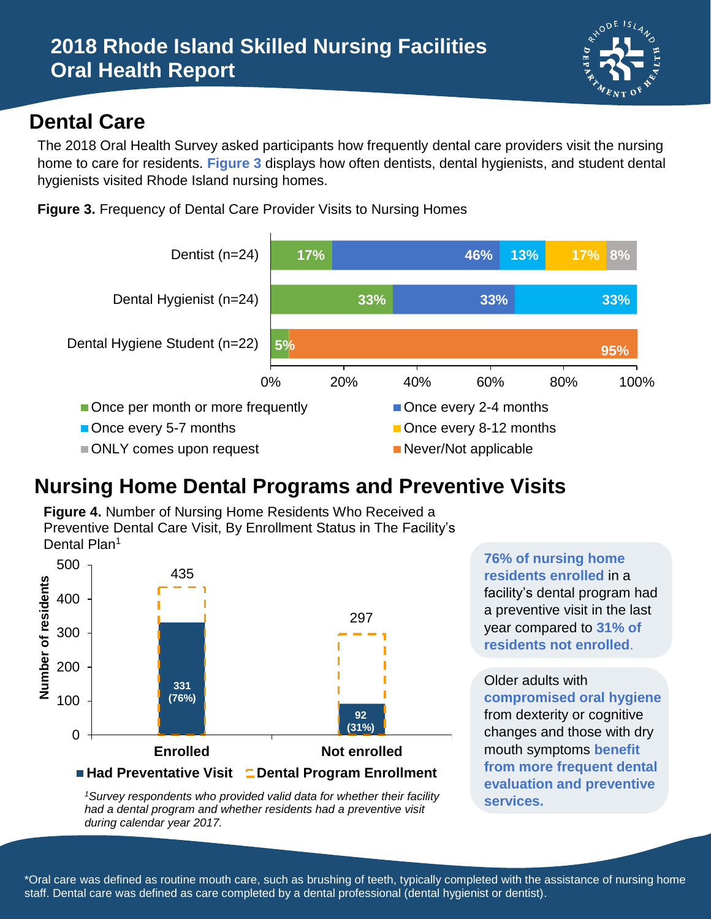

## **Dental Care**

The 2018 Oral Health Survey asked participants how frequently dental care providers visit the nursing home to care for residents. **Figure 3** displays how often dentists, dental hygienists, and student dental hygienists visited Rhode Island nursing homes.

**Figure 3.** Frequency of Dental Care Provider Visits to Nursing Homes



# **Nursing Home Dental Programs and Preventive Visits**

**Figure 4.** Number of Nursing Home Residents Who Received a Preventive Dental Care Visit, By Enrollment Status in The Facility's Dental Plan<sup>1</sup>



*<sup>1</sup>Survey respondents who provided valid data for whether their facility had a dental program and whether residents had a preventive visit during calendar year 2017.* 

**76% of nursing home residents enrolled** in a facility's dental program had a preventive visit in the last year compared to **31% of residents not enrolled**.

Older adults with **compromised oral hygiene** from dexterity or cognitive changes and those with dry mouth symptoms **benefit from more frequent dental evaluation and preventive services.**